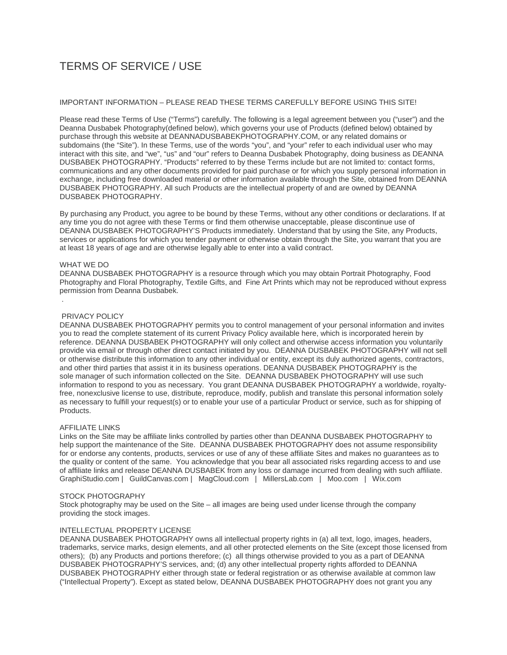# TERMS OF SERVICE / USE

## IMPORTANT INFORMATION – PLEASE READ THESE TERMS CAREFULLY BEFORE USING THIS SITE!

Please read these Terms of Use ("Terms") carefully. The following is a legal agreement between you ("user") and the Deanna Dusbabek Photography(defined below), which governs your use of Products (defined below) obtained by purchase through this website at DEANNADUSBABEKPHOTOGRAPHY.COM, or any related domains or subdomains (the "Site"). In these Terms, use of the words "you", and "your" refer to each individual user who may interact with this site, and "we", "us" and "our" refers to Deanna Dusbabek Photography, doing business as DEANNA DUSBABEK PHOTOGRAPHY. "Products" referred to by these Terms include but are not limited to: contact forms, communications and any other documents provided for paid purchase or for which you supply personal information in exchange, including free downloaded material or other information available through the Site, obtained from DEANNA DUSBABEK PHOTOGRAPHY. All such Products are the intellectual property of and are owned by DEANNA DUSBABEK PHOTOGRAPHY.

By purchasing any Product, you agree to be bound by these Terms, without any other conditions or declarations. If at any time you do not agree with these Terms or find them otherwise unacceptable, please discontinue use of DEANNA DUSBABEK PHOTOGRAPHY'S Products immediately. Understand that by using the Site, any Products, services or applications for which you tender payment or otherwise obtain through the Site, you warrant that you are at least 18 years of age and are otherwise legally able to enter into a valid contract.

#### WHAT WE DO

.

DEANNA DUSBABEK PHOTOGRAPHY is a resource through which you may obtain Portrait Photography, Food Photography and Floral Photography, Textile Gifts, and Fine Art Prints which may not be reproduced without express permission from Deanna Dusbabek.

## PRIVACY POLICY

DEANNA DUSBABEK PHOTOGRAPHY permits you to control management of your personal information and invites you to read the complete statement of its current Privacy Policy available here, which is incorporated herein by reference. DEANNA DUSBABEK PHOTOGRAPHY will only collect and otherwise access information you voluntarily provide via email or through other direct contact initiated by you. DEANNA DUSBABEK PHOTOGRAPHY will not sell or otherwise distribute this information to any other individual or entity, except its duly authorized agents, contractors, and other third parties that assist it in its business operations. DEANNA DUSBABEK PHOTOGRAPHY is the sole manager of such information collected on the Site. DEANNA DUSBABEK PHOTOGRAPHY will use such information to respond to you as necessary. You grant DEANNA DUSBABEK PHOTOGRAPHY a worldwide, royaltyfree, nonexclusive license to use, distribute, reproduce, modify, publish and translate this personal information solely as necessary to fulfill your request(s) or to enable your use of a particular Product or service, such as for shipping of Products.

## AFFILIATE LINKS

Links on the Site may be affiliate links controlled by parties other than DEANNA DUSBABEK PHOTOGRAPHY to help support the maintenance of the Site. DEANNA DUSBABEK PHOTOGRAPHY does not assume responsibility for or endorse any contents, products, services or use of any of these affiliate Sites and makes no guarantees as to the quality or content of the same. You acknowledge that you bear all associated risks regarding access to and use of affiliate links and release DEANNA DUSBABEK from any loss or damage incurred from dealing with such affiliate. GraphiStudio.com | GuildCanvas.com | MagCloud.com | MillersLab.com | Moo.com | Wix.com

## STOCK PHOTOGRAPHY

Stock photography may be used on the Site – all images are being used under license through the company providing the stock images.

#### INTELLECTUAL PROPERTY LICENSE

DEANNA DUSBABEK PHOTOGRAPHY owns all intellectual property rights in (a) all text, logo, images, headers, trademarks, service marks, design elements, and all other protected elements on the Site (except those licensed from others); (b) any Products and portions therefore; (c) all things otherwise provided to you as a part of DEANNA DUSBABEK PHOTOGRAPHY'S services, and; (d) any other intellectual property rights afforded to DEANNA DUSBABEK PHOTOGRAPHY either through state or federal registration or as otherwise available at common law ("Intellectual Property"). Except as stated below, DEANNA DUSBABEK PHOTOGRAPHY does not grant you any